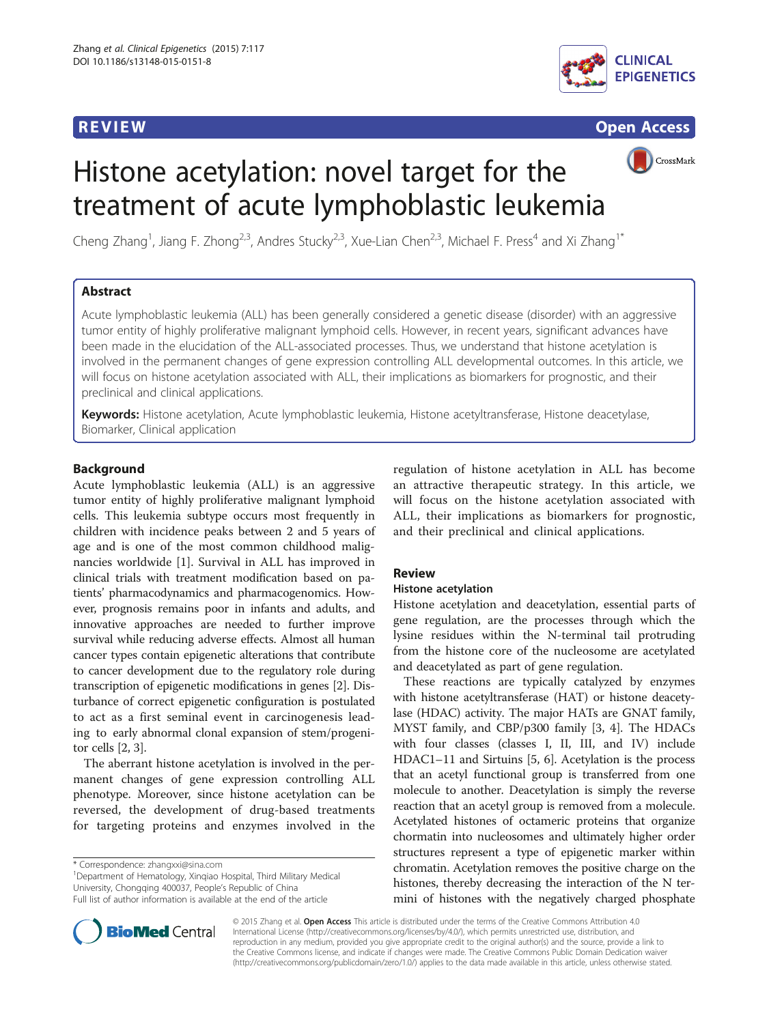# **REVIEW CONSTRUCTION CONSTRUCTION CONSTRUCTS**





CrossMark

# Histone acetylation: novel target for the treatment of acute lymphoblastic leukemia

Cheng Zhang<sup>1</sup>, Jiang F. Zhong<sup>2,3</sup>, Andres Stucky<sup>2,3</sup>, Xue-Lian Chen<sup>2,3</sup>, Michael F. Press<sup>4</sup> and Xi Zhang<sup>1\*</sup>

# Abstract

Acute lymphoblastic leukemia (ALL) has been generally considered a genetic disease (disorder) with an aggressive tumor entity of highly proliferative malignant lymphoid cells. However, in recent years, significant advances have been made in the elucidation of the ALL-associated processes. Thus, we understand that histone acetylation is involved in the permanent changes of gene expression controlling ALL developmental outcomes. In this article, we will focus on histone acetylation associated with ALL, their implications as biomarkers for prognostic, and their preclinical and clinical applications.

Keywords: Histone acetylation, Acute lymphoblastic leukemia, Histone acetyltransferase, Histone deacetylase, Biomarker, Clinical application

# Background

Acute lymphoblastic leukemia (ALL) is an aggressive tumor entity of highly proliferative malignant lymphoid cells. This leukemia subtype occurs most frequently in children with incidence peaks between 2 and 5 years of age and is one of the most common childhood malignancies worldwide [[1\]](#page-7-0). Survival in ALL has improved in clinical trials with treatment modification based on patients' pharmacodynamics and pharmacogenomics. However, prognosis remains poor in infants and adults, and innovative approaches are needed to further improve survival while reducing adverse effects. Almost all human cancer types contain epigenetic alterations that contribute to cancer development due to the regulatory role during transcription of epigenetic modifications in genes [[2\]](#page-7-0). Disturbance of correct epigenetic configuration is postulated to act as a first seminal event in carcinogenesis leading to early abnormal clonal expansion of stem/progenitor cells [\[2, 3](#page-7-0)].

The aberrant histone acetylation is involved in the permanent changes of gene expression controlling ALL phenotype. Moreover, since histone acetylation can be reversed, the development of drug-based treatments for targeting proteins and enzymes involved in the

\* Correspondence: [zhangxxi@sina.com](mailto:zhangxxi@sina.com) <sup>1</sup>

Department of Hematology, Xinqiao Hospital, Third Military Medical University, Chongqing 400037, People's Republic of China

regulation of histone acetylation in ALL has become an attractive therapeutic strategy. In this article, we will focus on the histone acetylation associated with ALL, their implications as biomarkers for prognostic, and their preclinical and clinical applications.

## Review

## Histone acetylation

Histone acetylation and deacetylation, essential parts of gene regulation, are the processes through which the lysine residues within the N-terminal tail protruding from the histone core of the nucleosome are acetylated and deacetylated as part of gene regulation.

These reactions are typically catalyzed by enzymes with histone acetyltransferase (HAT) or histone deacetylase (HDAC) activity. The major HATs are GNAT family, MYST family, and CBP/p300 family [\[3](#page-7-0), [4](#page-7-0)]. The HDACs with four classes (classes I, II, III, and IV) include HDAC1–11 and Sirtuins [\[5](#page-7-0), [6](#page-7-0)]. Acetylation is the process that an acetyl functional group is transferred from one molecule to another. Deacetylation is simply the reverse reaction that an acetyl group is removed from a molecule. Acetylated histones of octameric proteins that organize chormatin into nucleosomes and ultimately higher order structures represent a type of epigenetic marker within chromatin. Acetylation removes the positive charge on the histones, thereby decreasing the interaction of the N termini of histones with the negatively charged phosphate



© 2015 Zhang et al. Open Access This article is distributed under the terms of the Creative Commons Attribution 4.0 International License [\(http://creativecommons.org/licenses/by/4.0/](http://creativecommons.org/licenses/by/4.0/)), which permits unrestricted use, distribution, and reproduction in any medium, provided you give appropriate credit to the original author(s) and the source, provide a link to the Creative Commons license, and indicate if changes were made. The Creative Commons Public Domain Dedication waiver [\(http://creativecommons.org/publicdomain/zero/1.0/](http://creativecommons.org/publicdomain/zero/1.0/)) applies to the data made available in this article, unless otherwise stated.

Full list of author information is available at the end of the article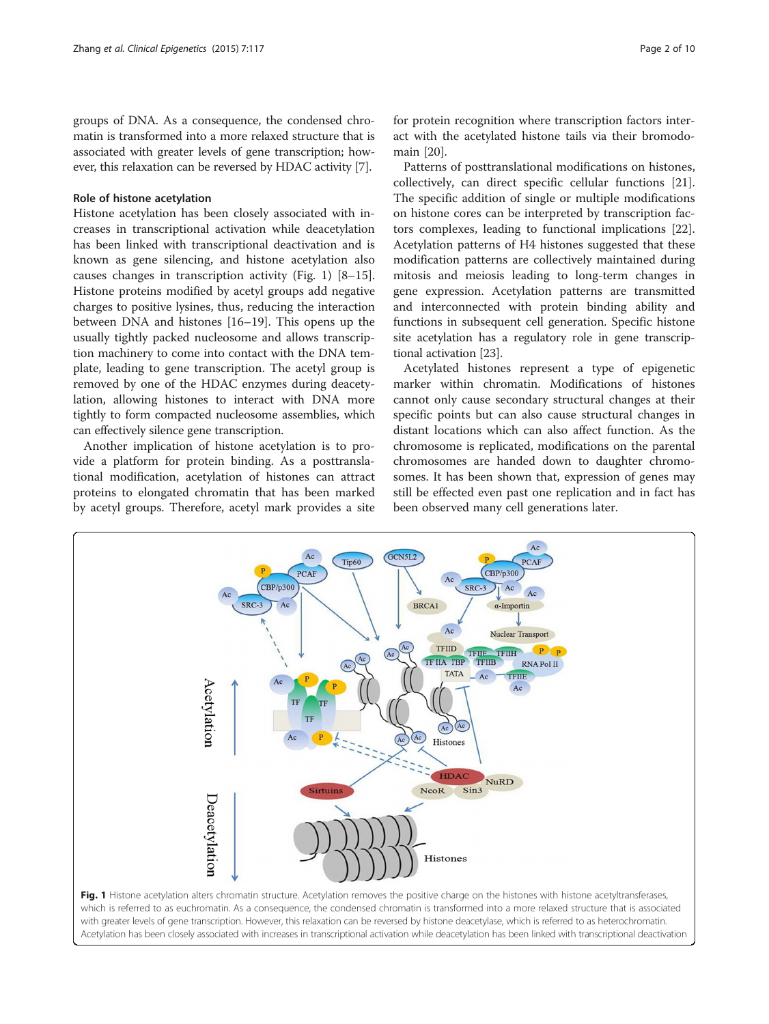groups of DNA. As a consequence, the condensed chromatin is transformed into a more relaxed structure that is associated with greater levels of gene transcription; however, this relaxation can be reversed by HDAC activity [\[7\]](#page-7-0).

#### Role of histone acetylation

Histone acetylation has been closely associated with increases in transcriptional activation while deacetylation has been linked with transcriptional deactivation and is known as gene silencing, and histone acetylation also causes changes in transcription activity (Fig. 1) [[8](#page-7-0)–[15](#page-7-0)]. Histone proteins modified by acetyl groups add negative charges to positive lysines, thus, reducing the interaction between DNA and histones [[16](#page-7-0)–[19\]](#page-7-0). This opens up the usually tightly packed nucleosome and allows transcription machinery to come into contact with the DNA template, leading to gene transcription. The acetyl group is removed by one of the HDAC enzymes during deacetylation, allowing histones to interact with DNA more tightly to form compacted nucleosome assemblies, which can effectively silence gene transcription.

Another implication of histone acetylation is to provide a platform for protein binding. As a posttranslational modification, acetylation of histones can attract proteins to elongated chromatin that has been marked by acetyl groups. Therefore, acetyl mark provides a site for protein recognition where transcription factors interact with the acetylated histone tails via their bromodomain [\[20](#page-7-0)].

Patterns of posttranslational modifications on histones, collectively, can direct specific cellular functions [\[21](#page-7-0)]. The specific addition of single or multiple modifications on histone cores can be interpreted by transcription factors complexes, leading to functional implications [\[22](#page-7-0)]. Acetylation patterns of H4 histones suggested that these modification patterns are collectively maintained during mitosis and meiosis leading to long-term changes in gene expression. Acetylation patterns are transmitted and interconnected with protein binding ability and functions in subsequent cell generation. Specific histone site acetylation has a regulatory role in gene transcriptional activation [[23](#page-7-0)].

Acetylated histones represent a type of epigenetic marker within chromatin. Modifications of histones cannot only cause secondary structural changes at their specific points but can also cause structural changes in distant locations which can also affect function. As the chromosome is replicated, modifications on the parental chromosomes are handed down to daughter chromosomes. It has been shown that, expression of genes may still be effected even past one replication and in fact has been observed many cell generations later.

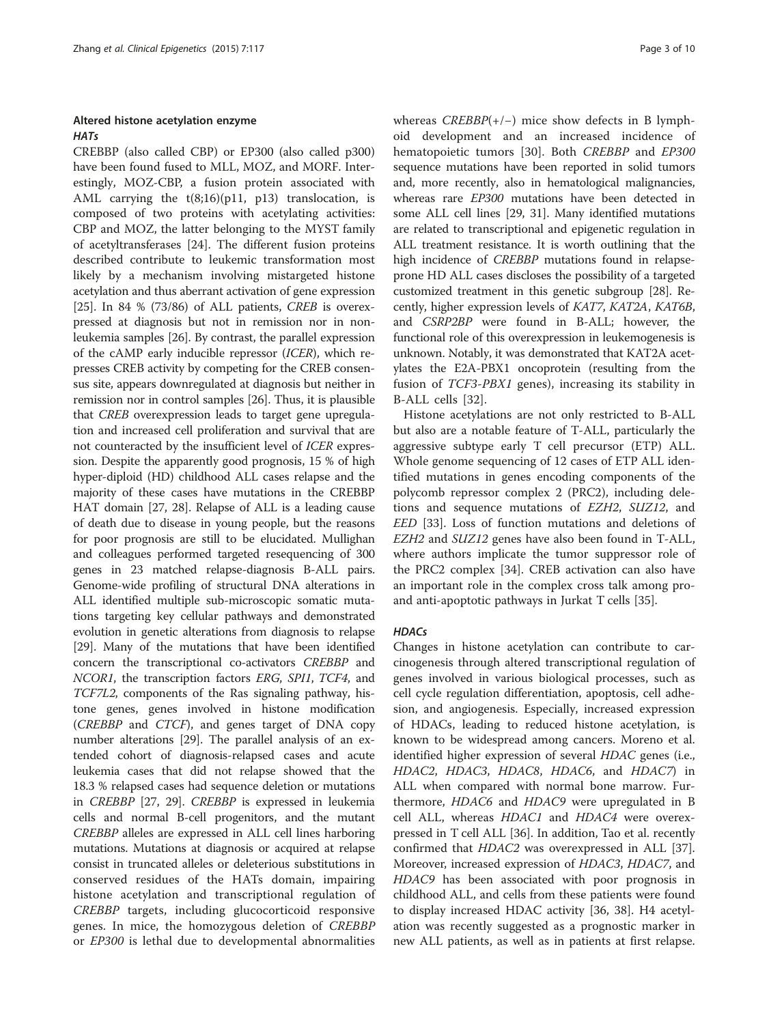## Altered histone acetylation enzyme **HATs**

CREBBP (also called CBP) or EP300 (also called p300) have been found fused to MLL, MOZ, and MORF. Interestingly, MOZ-CBP, a fusion protein associated with AML carrying the t(8;16)(p11, p13) translocation, is composed of two proteins with acetylating activities: CBP and MOZ, the latter belonging to the MYST family of acetyltransferases [\[24\]](#page-7-0). The different fusion proteins described contribute to leukemic transformation most likely by a mechanism involving mistargeted histone acetylation and thus aberrant activation of gene expression [[25](#page-7-0)]. In 84 % (73/86) of ALL patients, *CREB* is overexpressed at diagnosis but not in remission nor in nonleukemia samples [\[26\]](#page-7-0). By contrast, the parallel expression of the cAMP early inducible repressor (ICER), which represses CREB activity by competing for the CREB consensus site, appears downregulated at diagnosis but neither in remission nor in control samples [[26](#page-7-0)]. Thus, it is plausible that CREB overexpression leads to target gene upregulation and increased cell proliferation and survival that are not counteracted by the insufficient level of ICER expression. Despite the apparently good prognosis, 15 % of high hyper-diploid (HD) childhood ALL cases relapse and the majority of these cases have mutations in the CREBBP HAT domain [[27, 28\]](#page-7-0). Relapse of ALL is a leading cause of death due to disease in young people, but the reasons for poor prognosis are still to be elucidated. Mullighan and colleagues performed targeted resequencing of 300 genes in 23 matched relapse-diagnosis B-ALL pairs. Genome-wide profiling of structural DNA alterations in ALL identified multiple sub-microscopic somatic mutations targeting key cellular pathways and demonstrated evolution in genetic alterations from diagnosis to relapse [[29](#page-7-0)]. Many of the mutations that have been identified concern the transcriptional co-activators CREBBP and NCOR1, the transcription factors ERG, SPI1, TCF4, and TCF7L2, components of the Ras signaling pathway, histone genes, genes involved in histone modification (CREBBP and CTCF), and genes target of DNA copy number alterations [\[29\]](#page-7-0). The parallel analysis of an extended cohort of diagnosis-relapsed cases and acute leukemia cases that did not relapse showed that the 18.3 % relapsed cases had sequence deletion or mutations in CREBBP [[27](#page-7-0), [29\]](#page-7-0). CREBBP is expressed in leukemia cells and normal B-cell progenitors, and the mutant CREBBP alleles are expressed in ALL cell lines harboring mutations. Mutations at diagnosis or acquired at relapse consist in truncated alleles or deleterious substitutions in conserved residues of the HATs domain, impairing histone acetylation and transcriptional regulation of CREBBP targets, including glucocorticoid responsive genes. In mice, the homozygous deletion of CREBBP or EP300 is lethal due to developmental abnormalities whereas CREBBP(+/−) mice show defects in B lymphoid development and an increased incidence of hematopoietic tumors [[30\]](#page-7-0). Both CREBBP and EP300 sequence mutations have been reported in solid tumors and, more recently, also in hematological malignancies, whereas rare EP300 mutations have been detected in some ALL cell lines [[29, 31](#page-7-0)]. Many identified mutations are related to transcriptional and epigenetic regulation in ALL treatment resistance. It is worth outlining that the high incidence of CREBBP mutations found in relapseprone HD ALL cases discloses the possibility of a targeted customized treatment in this genetic subgroup [[28](#page-7-0)]. Recently, higher expression levels of KAT7, KAT2A, KAT6B, and CSRP2BP were found in B-ALL; however, the functional role of this overexpression in leukemogenesis is unknown. Notably, it was demonstrated that KAT2A acetylates the E2A-PBX1 oncoprotein (resulting from the fusion of TCF3-PBX1 genes), increasing its stability in B-ALL cells [[32\]](#page-7-0).

Histone acetylations are not only restricted to B-ALL but also are a notable feature of T-ALL, particularly the aggressive subtype early T cell precursor (ETP) ALL. Whole genome sequencing of 12 cases of ETP ALL identified mutations in genes encoding components of the polycomb repressor complex 2 (PRC2), including deletions and sequence mutations of EZH2, SUZ12, and EED [[33](#page-8-0)]. Loss of function mutations and deletions of EZH2 and SUZ12 genes have also been found in T-ALL, where authors implicate the tumor suppressor role of the PRC2 complex [[34\]](#page-8-0). CREB activation can also have an important role in the complex cross talk among proand anti-apoptotic pathways in Jurkat T cells [\[35](#page-8-0)].

## **HDACs**

Changes in histone acetylation can contribute to carcinogenesis through altered transcriptional regulation of genes involved in various biological processes, such as cell cycle regulation differentiation, apoptosis, cell adhesion, and angiogenesis. Especially, increased expression of HDACs, leading to reduced histone acetylation, is known to be widespread among cancers. Moreno et al. identified higher expression of several HDAC genes (i.e., HDAC2, HDAC3, HDAC8, HDAC6, and HDAC7) in ALL when compared with normal bone marrow. Furthermore, HDAC6 and HDAC9 were upregulated in B cell ALL, whereas HDAC1 and HDAC4 were overexpressed in T cell ALL [\[36\]](#page-8-0). In addition, Tao et al. recently confirmed that HDAC2 was overexpressed in ALL [\[37](#page-8-0)]. Moreover, increased expression of HDAC3, HDAC7, and HDAC9 has been associated with poor prognosis in childhood ALL, and cells from these patients were found to display increased HDAC activity [\[36, 38\]](#page-8-0). H4 acetylation was recently suggested as a prognostic marker in new ALL patients, as well as in patients at first relapse.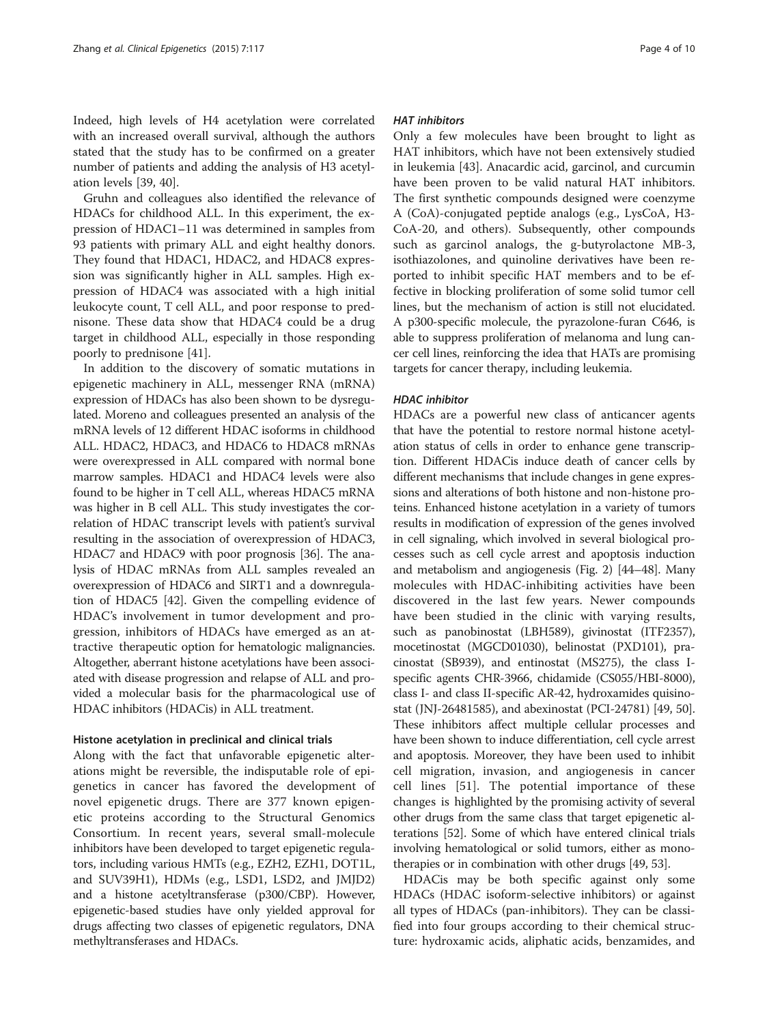Indeed, high levels of H4 acetylation were correlated with an increased overall survival, although the authors stated that the study has to be confirmed on a greater number of patients and adding the analysis of H3 acetylation levels [[39](#page-8-0), [40](#page-8-0)].

Gruhn and colleagues also identified the relevance of HDACs for childhood ALL. In this experiment, the expression of HDAC1–11 was determined in samples from 93 patients with primary ALL and eight healthy donors. They found that HDAC1, HDAC2, and HDAC8 expression was significantly higher in ALL samples. High expression of HDAC4 was associated with a high initial leukocyte count, T cell ALL, and poor response to prednisone. These data show that HDAC4 could be a drug target in childhood ALL, especially in those responding poorly to prednisone [\[41](#page-8-0)].

In addition to the discovery of somatic mutations in epigenetic machinery in ALL, messenger RNA (mRNA) expression of HDACs has also been shown to be dysregulated. Moreno and colleagues presented an analysis of the mRNA levels of 12 different HDAC isoforms in childhood ALL. HDAC2, HDAC3, and HDAC6 to HDAC8 mRNAs were overexpressed in ALL compared with normal bone marrow samples. HDAC1 and HDAC4 levels were also found to be higher in T cell ALL, whereas HDAC5 mRNA was higher in B cell ALL. This study investigates the correlation of HDAC transcript levels with patient's survival resulting in the association of overexpression of HDAC3, HDAC7 and HDAC9 with poor prognosis [\[36](#page-8-0)]. The analysis of HDAC mRNAs from ALL samples revealed an overexpression of HDAC6 and SIRT1 and a downregulation of HDAC5 [[42](#page-8-0)]. Given the compelling evidence of HDAC's involvement in tumor development and progression, inhibitors of HDACs have emerged as an attractive therapeutic option for hematologic malignancies. Altogether, aberrant histone acetylations have been associated with disease progression and relapse of ALL and provided a molecular basis for the pharmacological use of HDAC inhibitors (HDACis) in ALL treatment.

#### Histone acetylation in preclinical and clinical trials

Along with the fact that unfavorable epigenetic alterations might be reversible, the indisputable role of epigenetics in cancer has favored the development of novel epigenetic drugs. There are 377 known epigenetic proteins according to the Structural Genomics Consortium. In recent years, several small-molecule inhibitors have been developed to target epigenetic regulators, including various HMTs (e.g., EZH2, EZH1, DOT1L, and SUV39H1), HDMs (e.g., LSD1, LSD2, and JMJD2) and a histone acetyltransferase (p300/CBP). However, epigenetic-based studies have only yielded approval for drugs affecting two classes of epigenetic regulators, DNA methyltransferases and HDACs.

#### HAT inhibitors

Only a few molecules have been brought to light as HAT inhibitors, which have not been extensively studied in leukemia [[43\]](#page-8-0). Anacardic acid, garcinol, and curcumin have been proven to be valid natural HAT inhibitors. The first synthetic compounds designed were coenzyme A (CoA)-conjugated peptide analogs (e.g., LysCoA, H3- CoA-20, and others). Subsequently, other compounds such as garcinol analogs, the g-butyrolactone MB-3, isothiazolones, and quinoline derivatives have been reported to inhibit specific HAT members and to be effective in blocking proliferation of some solid tumor cell lines, but the mechanism of action is still not elucidated. A p300-specific molecule, the pyrazolone-furan C646, is able to suppress proliferation of melanoma and lung cancer cell lines, reinforcing the idea that HATs are promising targets for cancer therapy, including leukemia.

#### HDAC inhibitor

HDACs are a powerful new class of anticancer agents that have the potential to restore normal histone acetylation status of cells in order to enhance gene transcription. Different HDACis induce death of cancer cells by different mechanisms that include changes in gene expressions and alterations of both histone and non-histone proteins. Enhanced histone acetylation in a variety of tumors results in modification of expression of the genes involved in cell signaling, which involved in several biological processes such as cell cycle arrest and apoptosis induction and metabolism and angiogenesis (Fig. [2\)](#page-4-0) [[44](#page-8-0)–[48\]](#page-8-0). Many molecules with HDAC-inhibiting activities have been discovered in the last few years. Newer compounds have been studied in the clinic with varying results, such as panobinostat (LBH589), givinostat (ITF2357), mocetinostat (MGCD01030), belinostat (PXD101), pracinostat (SB939), and entinostat (MS275), the class Ispecific agents CHR-3966, chidamide (CS055/HBI-8000), class I- and class II-specific AR-42, hydroxamides quisinostat (JNJ-26481585), and abexinostat (PCI-24781) [\[49, 50](#page-8-0)]. These inhibitors affect multiple cellular processes and have been shown to induce differentiation, cell cycle arrest and apoptosis. Moreover, they have been used to inhibit cell migration, invasion, and angiogenesis in cancer cell lines [[51](#page-8-0)]. The potential importance of these changes is highlighted by the promising activity of several other drugs from the same class that target epigenetic alterations [[52](#page-8-0)]. Some of which have entered clinical trials involving hematological or solid tumors, either as monotherapies or in combination with other drugs [\[49, 53](#page-8-0)].

HDACis may be both specific against only some HDACs (HDAC isoform-selective inhibitors) or against all types of HDACs (pan-inhibitors). They can be classified into four groups according to their chemical structure: hydroxamic acids, aliphatic acids, benzamides, and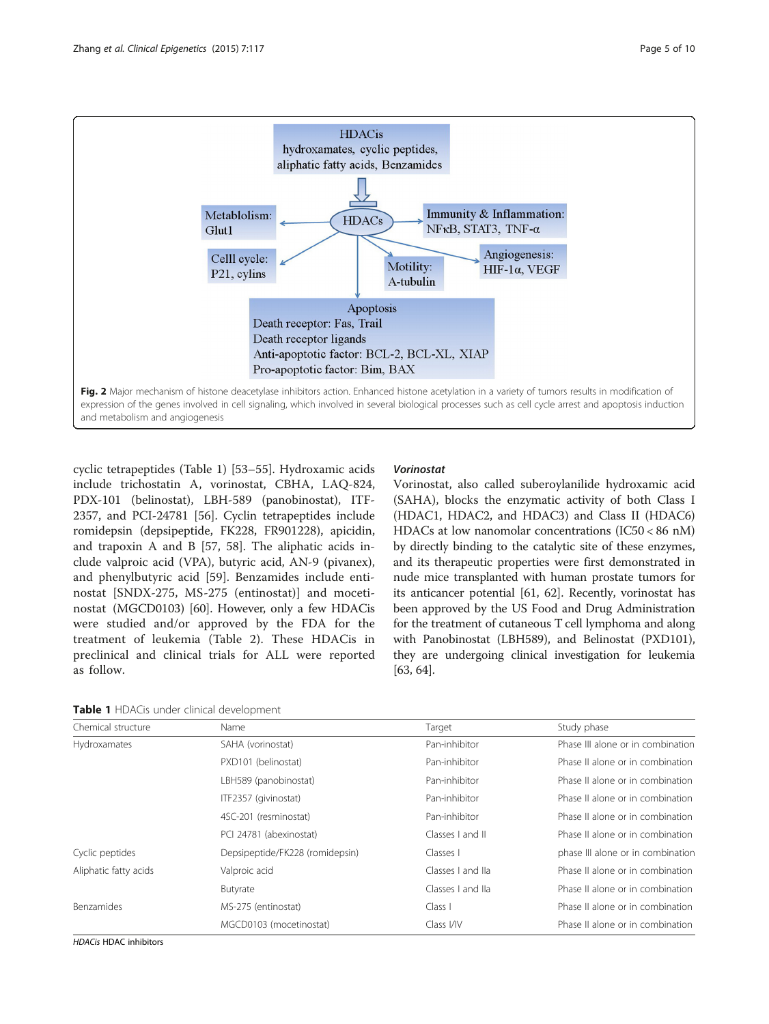<span id="page-4-0"></span>

cyclic tetrapeptides (Table 1) [\[53](#page-8-0)–[55\]](#page-8-0). Hydroxamic acids include trichostatin A, vorinostat, CBHA, LAQ-824, PDX-101 (belinostat), LBH-589 (panobinostat), ITF-2357, and PCI-24781 [[56](#page-8-0)]. Cyclin tetrapeptides include romidepsin (depsipeptide, FK228, FR901228), apicidin, and trapoxin A and B [[57, 58](#page-8-0)]. The aliphatic acids include valproic acid (VPA), butyric acid, AN-9 (pivanex), and phenylbutyric acid [\[59](#page-8-0)]. Benzamides include entinostat [SNDX-275, MS-275 (entinostat)] and mocetinostat (MGCD0103) [[60](#page-8-0)]. However, only a few HDACis were studied and/or approved by the FDA for the treatment of leukemia (Table [2\)](#page-5-0). These HDACis in preclinical and clinical trials for ALL were reported as follow.

Table 1 HDACis under clinical development

# Vorinostat

Vorinostat, also called suberoylanilide hydroxamic acid (SAHA), blocks the enzymatic activity of both Class I (HDAC1, HDAC2, and HDAC3) and Class II (HDAC6) HDACs at low nanomolar concentrations (IC50 < 86 nM) by directly binding to the catalytic site of these enzymes, and its therapeutic properties were first demonstrated in nude mice transplanted with human prostate tumors for its anticancer potential [\[61, 62](#page-8-0)]. Recently, vorinostat has been approved by the US Food and Drug Administration for the treatment of cutaneous T cell lymphoma and along with Panobinostat (LBH589), and Belinostat (PXD101), they are undergoing clinical investigation for leukemia [[63](#page-8-0), [64\]](#page-8-0).

| Chemical structure    | Name                            | Target            | Study phase                       |
|-----------------------|---------------------------------|-------------------|-----------------------------------|
| Hydroxamates          | SAHA (vorinostat)               | Pan-inhibitor     | Phase III alone or in combination |
|                       | PXD101 (belinostat)             | Pan-inhibitor     | Phase II alone or in combination  |
|                       | LBH589 (panobinostat)           | Pan-inhibitor     | Phase II alone or in combination  |
|                       | ITF2357 (givinostat)            | Pan-inhibitor     | Phase II alone or in combination  |
|                       | 4SC-201 (resminostat)           | Pan-inhibitor     | Phase II alone or in combination  |
|                       | PCI 24781 (abexinostat)         | Classes I and II  | Phase II alone or in combination  |
| Cyclic peptides       | Depsipeptide/FK228 (romidepsin) | Classes I         | phase III alone or in combination |
| Aliphatic fatty acids | Valproic acid                   | Classes I and Ila | Phase II alone or in combination  |
|                       | Butyrate                        | Classes Land IIa  | Phase II alone or in combination  |
| <b>Benzamides</b>     | MS-275 (entinostat)             | Class I           | Phase II alone or in combination  |
|                       | MGCD0103 (mocetinostat)         | Class I/IV        | Phase II alone or in combination  |

HDACis HDAC inhibitors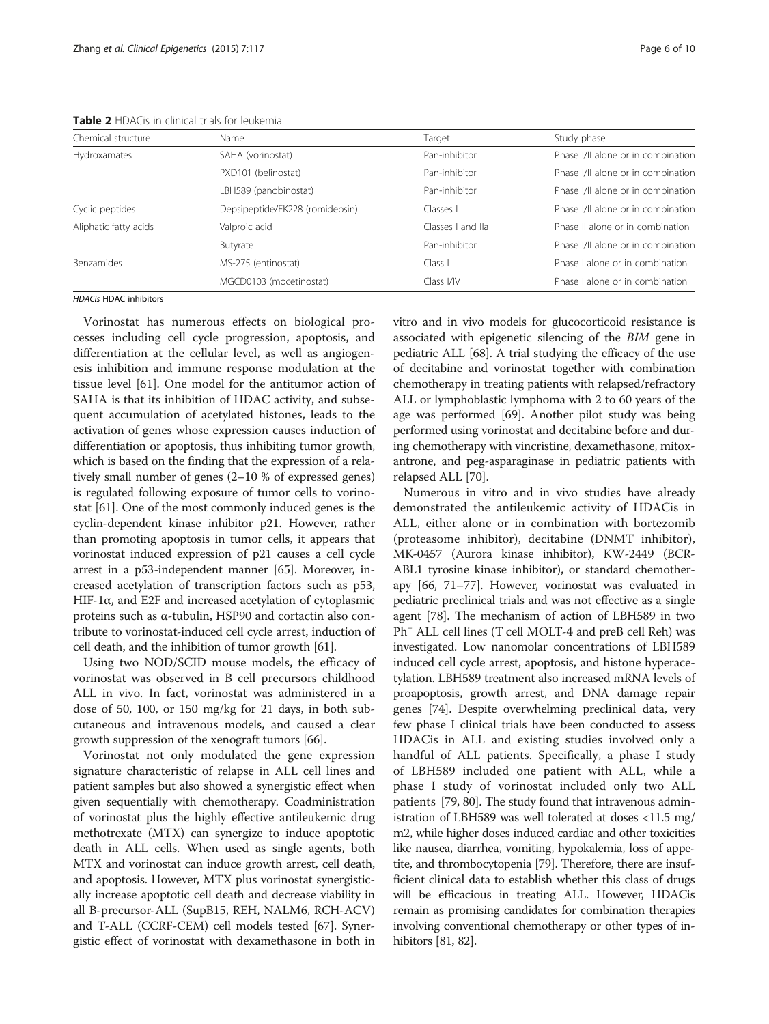| Chemical structure    | Name                            | Target           | Study phase                        |
|-----------------------|---------------------------------|------------------|------------------------------------|
| Hydroxamates          | SAHA (vorinostat)               | Pan-inhibitor    | Phase I/II alone or in combination |
|                       | PXD101 (belinostat)             | Pan-inhibitor    | Phase I/II alone or in combination |
|                       | LBH589 (panobinostat)           | Pan-inhibitor    | Phase I/II alone or in combination |
| Cyclic peptides       | Depsipeptide/FK228 (romidepsin) | Classes I        | Phase I/II alone or in combination |
| Aliphatic fatty acids | Valproic acid                   | Classes Land IIa | Phase II alone or in combination   |
|                       | Butyrate                        | Pan-inhibitor    | Phase I/II alone or in combination |
| <b>Benzamides</b>     | MS-275 (entinostat)             | Class I          | Phase Lalone or in combination     |
|                       | MGCD0103 (mocetinostat)         | Class I/IV       | Phase Lalone or in combination     |

<span id="page-5-0"></span>Table 2 HDACis in clinical trials for leukemia

HDACis HDAC inhibitors

Vorinostat has numerous effects on biological processes including cell cycle progression, apoptosis, and differentiation at the cellular level, as well as angiogenesis inhibition and immune response modulation at the tissue level [[61](#page-8-0)]. One model for the antitumor action of SAHA is that its inhibition of HDAC activity, and subsequent accumulation of acetylated histones, leads to the activation of genes whose expression causes induction of differentiation or apoptosis, thus inhibiting tumor growth, which is based on the finding that the expression of a relatively small number of genes (2–10 % of expressed genes) is regulated following exposure of tumor cells to vorinostat [[61](#page-8-0)]. One of the most commonly induced genes is the cyclin-dependent kinase inhibitor p21. However, rather than promoting apoptosis in tumor cells, it appears that vorinostat induced expression of p21 causes a cell cycle arrest in a p53-independent manner [\[65\]](#page-8-0). Moreover, increased acetylation of transcription factors such as p53, HIF-1α, and E2F and increased acetylation of cytoplasmic proteins such as α-tubulin, HSP90 and cortactin also contribute to vorinostat-induced cell cycle arrest, induction of cell death, and the inhibition of tumor growth [\[61\]](#page-8-0).

Using two NOD/SCID mouse models, the efficacy of vorinostat was observed in B cell precursors childhood ALL in vivo. In fact, vorinostat was administered in a dose of 50, 100, or 150 mg/kg for 21 days, in both subcutaneous and intravenous models, and caused a clear growth suppression of the xenograft tumors [\[66\]](#page-8-0).

Vorinostat not only modulated the gene expression signature characteristic of relapse in ALL cell lines and patient samples but also showed a synergistic effect when given sequentially with chemotherapy. Coadministration of vorinostat plus the highly effective antileukemic drug methotrexate (MTX) can synergize to induce apoptotic death in ALL cells. When used as single agents, both MTX and vorinostat can induce growth arrest, cell death, and apoptosis. However, MTX plus vorinostat synergistically increase apoptotic cell death and decrease viability in all B-precursor-ALL (SupB15, REH, NALM6, RCH-ACV) and T-ALL (CCRF-CEM) cell models tested [\[67\]](#page-8-0). Synergistic effect of vorinostat with dexamethasone in both in vitro and in vivo models for glucocorticoid resistance is associated with epigenetic silencing of the BIM gene in pediatric ALL [[68](#page-8-0)]. A trial studying the efficacy of the use of decitabine and vorinostat together with combination chemotherapy in treating patients with relapsed/refractory ALL or lymphoblastic lymphoma with 2 to 60 years of the age was performed [\[69](#page-8-0)]. Another pilot study was being performed using vorinostat and decitabine before and during chemotherapy with vincristine, dexamethasone, mitoxantrone, and peg-asparaginase in pediatric patients with relapsed ALL [[70](#page-8-0)].

Numerous in vitro and in vivo studies have already demonstrated the antileukemic activity of HDACis in ALL, either alone or in combination with bortezomib (proteasome inhibitor), decitabine (DNMT inhibitor), MK-0457 (Aurora kinase inhibitor), KW-2449 (BCR-ABL1 tyrosine kinase inhibitor), or standard chemotherapy [[66, 71](#page-8-0)–[77](#page-8-0)]. However, vorinostat was evaluated in pediatric preclinical trials and was not effective as a single agent [[78](#page-8-0)]. The mechanism of action of LBH589 in two Ph<sup>−</sup> ALL cell lines (T cell MOLT-4 and preB cell Reh) was investigated. Low nanomolar concentrations of LBH589 induced cell cycle arrest, apoptosis, and histone hyperacetylation. LBH589 treatment also increased mRNA levels of proapoptosis, growth arrest, and DNA damage repair genes [\[74\]](#page-8-0). Despite overwhelming preclinical data, very few phase I clinical trials have been conducted to assess HDACis in ALL and existing studies involved only a handful of ALL patients. Specifically, a phase I study of LBH589 included one patient with ALL, while a phase I study of vorinostat included only two ALL patients [[79](#page-9-0), [80](#page-9-0)]. The study found that intravenous administration of LBH589 was well tolerated at doses <11.5 mg/ m2, while higher doses induced cardiac and other toxicities like nausea, diarrhea, vomiting, hypokalemia, loss of appetite, and thrombocytopenia [\[79\]](#page-9-0). Therefore, there are insufficient clinical data to establish whether this class of drugs will be efficacious in treating ALL. However, HDACis remain as promising candidates for combination therapies involving conventional chemotherapy or other types of inhibitors [\[81](#page-9-0), [82](#page-9-0)].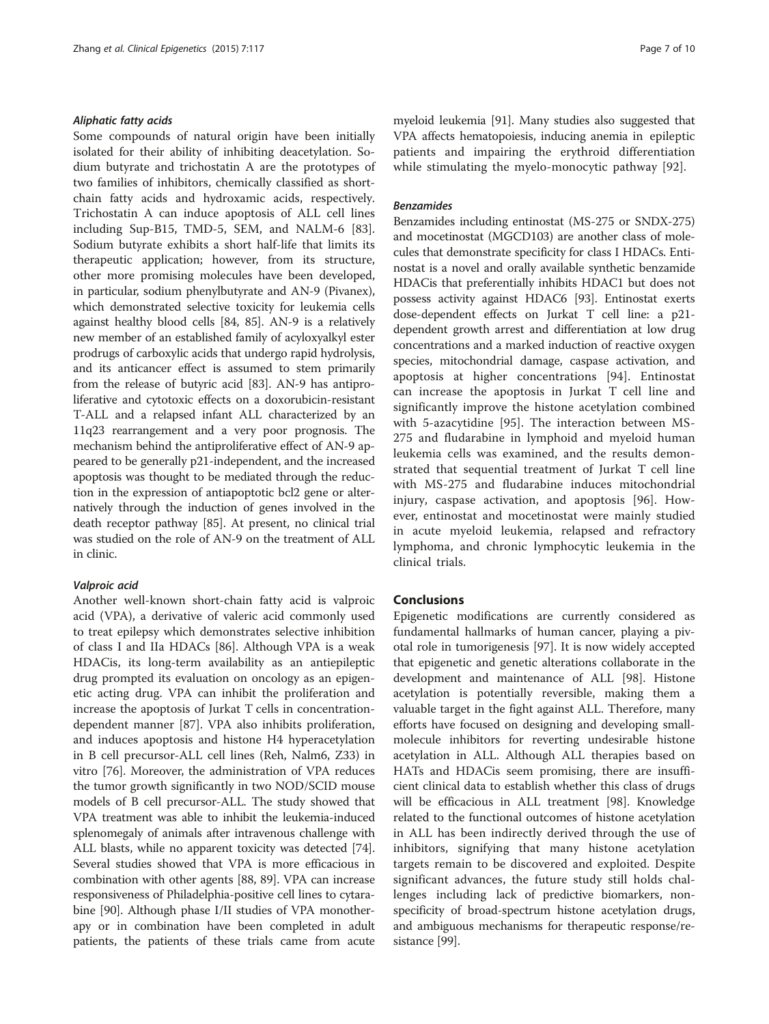#### Aliphatic fatty acids

Some compounds of natural origin have been initially isolated for their ability of inhibiting deacetylation. Sodium butyrate and trichostatin A are the prototypes of two families of inhibitors, chemically classified as shortchain fatty acids and hydroxamic acids, respectively. Trichostatin A can induce apoptosis of ALL cell lines including Sup-B15, TMD-5, SEM, and NALM-6 [\[83](#page-9-0)]. Sodium butyrate exhibits a short half-life that limits its therapeutic application; however, from its structure, other more promising molecules have been developed, in particular, sodium phenylbutyrate and AN-9 (Pivanex), which demonstrated selective toxicity for leukemia cells against healthy blood cells [[84](#page-9-0), [85](#page-9-0)]. AN-9 is a relatively new member of an established family of acyloxyalkyl ester prodrugs of carboxylic acids that undergo rapid hydrolysis, and its anticancer effect is assumed to stem primarily from the release of butyric acid [\[83](#page-9-0)]. AN-9 has antiproliferative and cytotoxic effects on a doxorubicin-resistant T-ALL and a relapsed infant ALL characterized by an 11q23 rearrangement and a very poor prognosis. The mechanism behind the antiproliferative effect of AN-9 appeared to be generally p21-independent, and the increased apoptosis was thought to be mediated through the reduction in the expression of antiapoptotic bcl2 gene or alternatively through the induction of genes involved in the death receptor pathway [\[85\]](#page-9-0). At present, no clinical trial was studied on the role of AN-9 on the treatment of ALL in clinic.

## Valproic acid

Another well-known short-chain fatty acid is valproic acid (VPA), a derivative of valeric acid commonly used to treat epilepsy which demonstrates selective inhibition of class I and IIa HDACs [[86](#page-9-0)]. Although VPA is a weak HDACis, its long-term availability as an antiepileptic drug prompted its evaluation on oncology as an epigenetic acting drug. VPA can inhibit the proliferation and increase the apoptosis of Jurkat T cells in concentrationdependent manner [[87\]](#page-9-0). VPA also inhibits proliferation, and induces apoptosis and histone H4 hyperacetylation in B cell precursor-ALL cell lines (Reh, Nalm6, Z33) in vitro [\[76](#page-8-0)]. Moreover, the administration of VPA reduces the tumor growth significantly in two NOD/SCID mouse models of B cell precursor-ALL. The study showed that VPA treatment was able to inhibit the leukemia-induced splenomegaly of animals after intravenous challenge with ALL blasts, while no apparent toxicity was detected [[74](#page-8-0)]. Several studies showed that VPA is more efficacious in combination with other agents [[88](#page-9-0), [89](#page-9-0)]. VPA can increase responsiveness of Philadelphia-positive cell lines to cytarabine [\[90](#page-9-0)]. Although phase I/II studies of VPA monotherapy or in combination have been completed in adult patients, the patients of these trials came from acute myeloid leukemia [[91](#page-9-0)]. Many studies also suggested that VPA affects hematopoiesis, inducing anemia in epileptic patients and impairing the erythroid differentiation while stimulating the myelo-monocytic pathway [\[92](#page-9-0)].

# Benzamides

Benzamides including entinostat (MS-275 or SNDX-275) and mocetinostat (MGCD103) are another class of molecules that demonstrate specificity for class I HDACs. Entinostat is a novel and orally available synthetic benzamide HDACis that preferentially inhibits HDAC1 but does not possess activity against HDAC6 [\[93\]](#page-9-0). Entinostat exerts dose-dependent effects on Jurkat T cell line: a p21 dependent growth arrest and differentiation at low drug concentrations and a marked induction of reactive oxygen species, mitochondrial damage, caspase activation, and apoptosis at higher concentrations [[94](#page-9-0)]. Entinostat can increase the apoptosis in Jurkat T cell line and significantly improve the histone acetylation combined with 5-azacytidine [\[95](#page-9-0)]. The interaction between MS-275 and fludarabine in lymphoid and myeloid human leukemia cells was examined, and the results demonstrated that sequential treatment of Jurkat T cell line with MS-275 and fludarabine induces mitochondrial injury, caspase activation, and apoptosis [[96\]](#page-9-0). However, entinostat and mocetinostat were mainly studied in acute myeloid leukemia, relapsed and refractory lymphoma, and chronic lymphocytic leukemia in the clinical trials.

# Conclusions

Epigenetic modifications are currently considered as fundamental hallmarks of human cancer, playing a pivotal role in tumorigenesis [\[97](#page-9-0)]. It is now widely accepted that epigenetic and genetic alterations collaborate in the development and maintenance of ALL [\[98\]](#page-9-0). Histone acetylation is potentially reversible, making them a valuable target in the fight against ALL. Therefore, many efforts have focused on designing and developing smallmolecule inhibitors for reverting undesirable histone acetylation in ALL. Although ALL therapies based on HATs and HDACis seem promising, there are insufficient clinical data to establish whether this class of drugs will be efficacious in ALL treatment [[98\]](#page-9-0). Knowledge related to the functional outcomes of histone acetylation in ALL has been indirectly derived through the use of inhibitors, signifying that many histone acetylation targets remain to be discovered and exploited. Despite significant advances, the future study still holds challenges including lack of predictive biomarkers, nonspecificity of broad-spectrum histone acetylation drugs, and ambiguous mechanisms for therapeutic response/resistance [[99](#page-9-0)].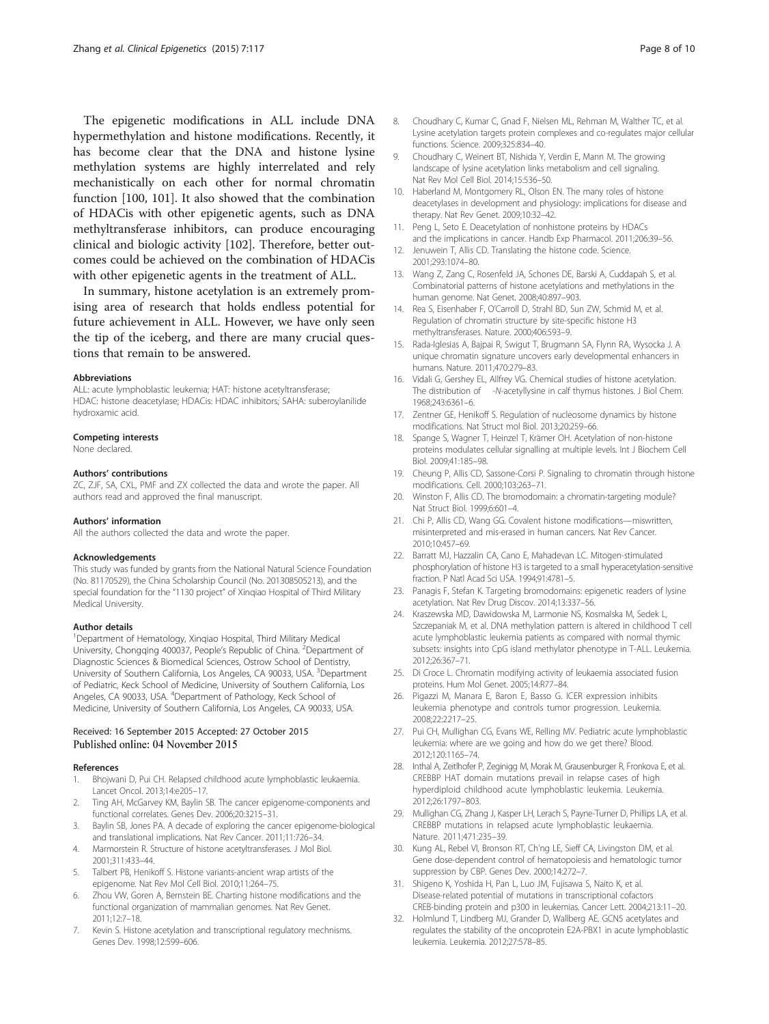<span id="page-7-0"></span>The epigenetic modifications in ALL include DNA hypermethylation and histone modifications. Recently, it has become clear that the DNA and histone lysine methylation systems are highly interrelated and rely mechanistically on each other for normal chromatin function [\[100](#page-9-0), [101](#page-9-0)]. It also showed that the combination of HDACis with other epigenetic agents, such as DNA methyltransferase inhibitors, can produce encouraging clinical and biologic activity [[102](#page-9-0)]. Therefore, better outcomes could be achieved on the combination of HDACis with other epigenetic agents in the treatment of ALL.

In summary, histone acetylation is an extremely promising area of research that holds endless potential for future achievement in ALL. However, we have only seen the tip of the iceberg, and there are many crucial questions that remain to be answered.

#### Abbreviations

ALL: acute lymphoblastic leukemia; HAT: histone acetyltransferase; HDAC: histone deacetylase; HDACis: HDAC inhibitors; SAHA: suberoylanilide hydroxamic acid.

#### Competing interests

None declared.

#### Authors' contributions

ZC, ZJF, SA, CXL, PMF and ZX collected the data and wrote the paper. All authors read and approved the final manuscript.

#### Authors' information

All the authors collected the data and wrote the paper.

#### Acknowledgements

This study was funded by grants from the National Natural Science Foundation (No. 81170529), the China Scholarship Council (No. 201308505213), and the special foundation for the "1130 project" of Xinqiao Hospital of Third Military Medical University.

#### Author details

<sup>1</sup>Department of Hematology, Xinqiao Hospital, Third Military Medical University, Chongqing 400037, People's Republic of China. <sup>2</sup>Department of Diagnostic Sciences & Biomedical Sciences, Ostrow School of Dentistry, University of Southern California, Los Angeles, CA 90033, USA. <sup>3</sup>Department of Pediatric, Keck School of Medicine, University of Southern California, Los Angeles, CA 90033, USA. <sup>4</sup>Department of Pathology, Keck School of Medicine, University of Southern California, Los Angeles, CA 90033, USA.

#### Received: 16 September 2015 Accepted: 27 October 2015 Published online: 04 November 2015

#### References

- 1. Bhojwani D, Pui CH. Relapsed childhood acute lymphoblastic leukaemia. Lancet Oncol. 2013;14:e205–17.
- 2. Ting AH, McGarvey KM, Baylin SB. The cancer epigenome-components and functional correlates. Genes Dev. 2006;20:3215–31.
- 3. Baylin SB, Jones PA. A decade of exploring the cancer epigenome-biological and translational implications. Nat Rev Cancer. 2011;11:726–34.
- 4. Marmorstein R. Structure of histone acetyltransferases. J Mol Biol. 2001;311:433–44.
- 5. Talbert PB, Henikoff S. Histone variants-ancient wrap artists of the epigenome. Nat Rev Mol Cell Biol. 2010;11:264–75.
- 6. Zhou VW, Goren A, Bernstein BE. Charting histone modifications and the functional organization of mammalian genomes. Nat Rev Genet. 2011;12:7–18.
- 7. Kevin S. Histone acetylation and transcriptional regulatory mechnisms. Genes Dev. 1998;12:599–606.
- 8. Choudhary C, Kumar C, Gnad F, Nielsen ML, Rehman M, Walther TC, et al. Lysine acetylation targets protein complexes and co-regulates major cellular functions. Science. 2009;325:834–40.
- 9. Choudhary C, Weinert BT, Nishida Y, Verdin E, Mann M. The growing landscape of lysine acetylation links metabolism and cell signaling. Nat Rev Mol Cell Biol. 2014;15:536–50.
- 10. Haberland M, Montgomery RL, Olson EN. The many roles of histone deacetylases in development and physiology: implications for disease and therapy. Nat Rev Genet. 2009;10:32–42.
- 11. Peng L, Seto E. Deacetylation of nonhistone proteins by HDACs and the implications in cancer. Handb Exp Pharmacol. 2011;206:39–56.
- 12. Jenuwein T, Allis CD. Translating the histone code. Science. 2001;293:1074–80.
- 13. Wang Z, Zang C, Rosenfeld JA, Schones DE, Barski A, Cuddapah S, et al. Combinatorial patterns of histone acetylations and methylations in the human genome. Nat Genet. 2008;40:897–903.
- 14. Rea S, Eisenhaber F, O'Carroll D, Strahl BD, Sun ZW, Schmid M, et al. Regulation of chromatin structure by site-specific histone H3 methyltransferases. Nature. 2000;406:593–9.
- 15. Rada-Iglesias A, Bajpai R, Swigut T, Brugmann SA, Flynn RA, Wysocka J. A unique chromatin signature uncovers early developmental enhancers in humans. Nature. 2011;470:279–83.
- 16. Vidali G, Gershey EL, Allfrey VG. Chemical studies of histone acetylation. The distribution of -N-acetyllysine in calf thymus histones. J Biol Chem. 1968;243:6361–6.
- 17. Zentner GE, Henikoff S. Regulation of nucleosome dynamics by histone modifications. Nat Struct mol Biol. 2013;20:259–66.
- 18. Spange S, Wagner T, Heinzel T, Krämer OH. Acetylation of non-histone proteins modulates cellular signalling at multiple levels. Int J Biochem Cell Biol. 2009;41:185–98.
- 19. Cheung P, Allis CD, Sassone-Corsi P. Signaling to chromatin through histone modifications. Cell. 2000;103:263–71.
- 20. Winston F, Allis CD. The bromodomain: a chromatin-targeting module? Nat Struct Biol. 1999;6:601–4.
- 21. Chi P, Allis CD, Wang GG. Covalent histone modifications—miswritten, misinterpreted and mis-erased in human cancers. Nat Rev Cancer. 2010;10:457–69.
- 22. Barratt MJ, Hazzalin CA, Cano E, Mahadevan LC. Mitogen-stimulated phosphorylation of histone H3 is targeted to a small hyperacetylation-sensitive fraction. P Natl Acad Sci USA. 1994;91:4781–5.
- 23. Panagis F, Stefan K. Targeting bromodomains: epigenetic readers of lysine acetylation. Nat Rev Drug Discov. 2014;13:337–56.
- 24. Kraszewska MD, Dawidowska M, Larmonie NS, Kosmalska M, Sedek L, Szczepaniak M, et al. DNA methylation pattern is altered in childhood T cell acute lymphoblastic leukemia patients as compared with normal thymic subsets: insights into CpG island methylator phenotype in T-ALL. Leukemia. 2012;26:367–71.
- 25. Di Croce L. Chromatin modifying activity of leukaemia associated fusion proteins. Hum Mol Genet. 2005;14:R77–84.
- 26. Pigazzi M, Manara E, Baron E, Basso G. ICER expression inhibits leukemia phenotype and controls tumor progression. Leukemia. 2008;22:2217–25.
- 27. Pui CH, Mullighan CG, Evans WE, Relling MV. Pediatric acute lymphoblastic leukemia: where are we going and how do we get there? Blood. 2012;120:1165–74.
- 28. Inthal A, Zeitlhofer P, Zeginigg M, Morak M, Grausenburger R, Fronkova E, et al. CREBBP HAT domain mutations prevail in relapse cases of high hyperdiploid childhood acute lymphoblastic leukemia. Leukemia. 2012;26:1797–803.
- 29. Mullighan CG, Zhang J, Kasper LH, Lerach S, Payne-Turner D, Phillips LA, et al. CREBBP mutations in relapsed acute lymphoblastic leukaemia. Nature. 2011;471:235–39.
- 30. Kung AL, Rebel VI, Bronson RT, Ch'ng LE, Sieff CA, Livingston DM, et al. Gene dose-dependent control of hematopoiesis and hematologic tumor suppression by CBP. Genes Dev. 2000;14:272–7.
- 31. Shigeno K, Yoshida H, Pan L, Luo JM, Fujisawa S, Naito K, et al. Disease-related potential of mutations in transcriptional cofactors CREB-binding protein and p300 in leukemias. Cancer Lett. 2004;213:11–20.
- 32. Holmlund T, Lindberg MJ, Grander D, Wallberg AE. GCN5 acetylates and regulates the stability of the oncoprotein E2A-PBX1 in acute lymphoblastic leukemia. Leukemia. 2012;27:578–85.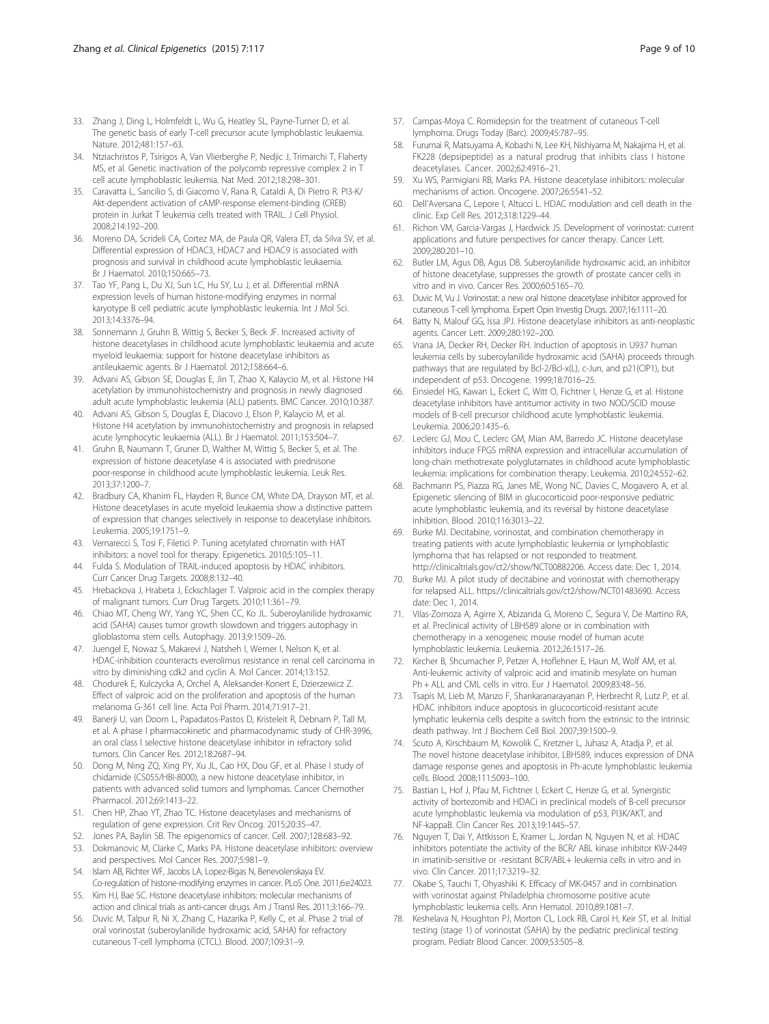- <span id="page-8-0"></span>33. Zhang J, Ding L, Holmfeldt L, Wu G, Heatley SL, Payne-Turner D, et al. The genetic basis of early T-cell precursor acute lymphoblastic leukaemia. Nature. 2012;481:157–63.
- 34. Ntziachristos P, Tsirigos A, Van Vlierberghe P, Nedjic J, Trimarchi T, Flaherty MS, et al. Genetic inactivation of the polycomb repressive complex 2 in T cell acute lymphoblastic leukemia. Nat Med. 2012;18:298–301.
- 35. Caravatta L, Sancilio S, di Giacomo V, Rana R, Cataldi A, Di Pietro R. PI3-K/ Akt-dependent activation of cAMP-response element-binding (CREB) protein in Jurkat T leukemia cells treated with TRAIL. J Cell Physiol. 2008;214:192–200.
- 36. Moreno DA, Scrideli CA, Cortez MA, de Paula QR, Valera ET, da Silva SV, et al. Differential expression of HDAC3, HDAC7 and HDAC9 is associated with prognosis and survival in childhood acute lymphoblastic leukaemia. Br J Haematol. 2010;150:665–73.
- 37. Tao YF, Pang L, Du XJ, Sun LC, Hu SY, Lu J, et al. Differential mRNA expression levels of human histone-modifying enzymes in normal karyotype B cell pediatric acute lymphoblastic leukemia. Int J Mol Sci. 2013;14:3376–94.
- 38. Sonnemann J, Gruhn B, Wittig S, Becker S, Beck JF. Increased activity of histone deacetylases in childhood acute lymphoblastic leukaemia and acute myeloid leukaemia: support for histone deacetylase inhibitors as antileukaemic agents. Br J Haematol. 2012;158:664–6.
- 39. Advani AS, Gibson SE, Douglas E, Jin T, Zhao X, Kalaycio M, et al. Histone H4 acetylation by immunohistochemistry and prognosis in newly diagnosed adult acute lymphoblastic leukemia (ALL) patients. BMC Cancer. 2010;10:387.
- 40. Advani AS, Gibson S, Douglas E, Diacovo J, Elson P, Kalaycio M, et al. Histone H4 acetylation by immunohistochemistry and prognosis in relapsed acute lymphocytic leukaemia (ALL). Br J Haematol. 2011;153:504–7.
- 41. Gruhn B, Naumann T, Gruner D, Walther M, Wittig S, Becker S, et al. The expression of histone deacetylase 4 is associated with prednisone poor-response in childhood acute lymphoblastic leukemia. Leuk Res. 2013;37:1200–7.
- 42. Bradbury CA, Khanim FL, Hayden R, Bunce CM, White DA, Drayson MT, et al. Histone deacetylases in acute myeloid leukaemia show a distinctive pattern of expression that changes selectively in response to deacetylase inhibitors. Leukemia. 2005;19:1751–9.
- 43. Vernarecci S, Tosi F, Filetici P. Tuning acetylated chromatin with HAT inhibitors: a novel tool for therapy. Epigenetics. 2010;5:105–11.
- Fulda S. Modulation of TRAIL-induced apoptosis by HDAC inhibitors. Curr Cancer Drug Targets. 2008;8:132–40.
- 45. Hrebackova J, Hrabeta J, Eckschlager T. Valproic acid in the complex therapy of malignant tumors. Curr Drug Targets. 2010;11:361–79.
- 46. Chiao MT, Cheng WY, Yang YC, Shen CC, Ko JL. Suberoylanilide hydroxamic acid (SAHA) causes tumor growth slowdown and triggers autophagy in glioblastoma stem cells. Autophagy. 2013;9:1509–26.
- 47. Juengel E, Nowaz S, Makarevi J, Natsheh I, Werner I, Nelson K, et al. HDAC-inhibition counteracts everolimus resistance in renal cell carcinoma in vitro by diminishing cdk2 and cyclin A. Mol Cancer. 2014;13:152.
- 48. Chodurek E, Kulczycka A, Orchel A, Aleksander-Konert E, Dzierzewicz Z. Effect of valproic acid on the proliferation and apoptosis of the human melanoma G-361 cell line. Acta Pol Pharm. 2014;71:917–21.
- 49. Banerji U, van Doorn L, Papadatos-Pastos D, Kristeleit R, Debnam P, Tall M, et al. A phase I pharmacokinetic and pharmacodynamic study of CHR-3996, an oral class I selective histone deacetylase inhibitor in refractory solid tumors. Clin Cancer Res. 2012;18:2687–94.
- 50. Dong M, Ning ZQ, Xing PY, Xu JL, Cao HX, Dou GF, et al. Phase I study of chidamide (CS055/HBI-8000), a new histone deacetylase inhibitor, in patients with advanced solid tumors and lymphomas. Cancer Chemother Pharmacol. 2012;69:1413–22.
- 51. Chen HP, Zhao YT, Zhao TC. Histone deacetylases and mechanisms of regulation of gene expression. Crit Rev Oncog. 2015;20:35–47.
- 52. Jones PA, Baylin SB. The epigenomics of cancer. Cell. 2007;128:683–92.
- 53. Dokmanovic M, Clarke C, Marks PA. Histone deacetylase inhibitors: overview and perspectives. Mol Cancer Res. 2007;5:981–9.
- 54. Islam AB, Richter WF, Jacobs LA, Lopez-Bigas N, Benevolenskaya EV. Co-regulation of histone-modifying enzymes in cancer. PLoS One. 2011;6:e24023.
- 55. Kim HJ, Bae SC. Histone deacetylase inhibitors: molecular mechanisms of action and clinical trials as anti-cancer drugs. Am J Transl Res. 2011;3:166–79.
- 56. Duvic M, Talpur R, Ni X, Zhang C, Hazarika P, Kelly C, et al. Phase 2 trial of oral vorinostat (suberoylanilide hydroxamic acid, SAHA) for refractory cutaneous T-cell lymphoma (CTCL). Blood. 2007;109:31–9.
- 57. Campas-Moya C. Romidepsin for the treatment of cutaneous T-cell lymphoma. Drugs Today (Barc). 2009;45:787–95.
- 58. Furumai R, Matsuyama A, Kobashi N, Lee KH, Nishiyama M, Nakajima H, et al. FK228 (depsipeptide) as a natural prodrug that inhibits class I histone deacetylases. Cancer. 2002;62:4916–21.
- 59. Xu WS, Parmigiani RB, Marks PA. Histone deacetylase inhibitors: molecular mechanisms of action. Oncogene. 2007;26:5541–52.
- 60. Dell'Aversana C, Lepore I, Altucci L. HDAC modulation and cell death in the clinic. Exp Cell Res. 2012;318:1229–44.
- 61. Richon VM, Garcia-Vargas J, Hardwick JS. Development of vorinostat: current applications and future perspectives for cancer therapy. Cancer Lett. 2009;280:201–10.
- 62. Butler LM, Agus DB, Agus DB. Suberoylanilide hydroxamic acid, an inhibitor of histone deacetylase, suppresses the growth of prostate cancer cells in vitro and in vivo. Cancer Res. 2000;60:5165–70.
- 63. Duvic M, Vu J. Vorinostat: a new oral histone deacetylase inhibitor approved for cutaneous T-cell lymphoma. Expert Opin Investig Drugs. 2007;16:1111–20.
- 64. Batty N, Malouf GG, Issa JPJ. Histone deacetylase inhibitors as anti-neoplastic agents. Cancer Lett. 2009;280:192–200.
- 65. Vrana JA, Decker RH, Decker RH. Induction of apoptosis in U937 human leukemia cells by suberoylanilide hydroxamic acid (SAHA) proceeds through pathways that are regulated by Bcl-2/Bcl-x(L), c-Jun, and p21(CIP1), but independent of p53. Oncogene. 1999;18:7016–25.
- 66. Einsiedel HG, Kawan L, Eckert C, Witt O, Fichtner I, Henze G, et al. Histone deacetylase inhibitors have antitumor activity in two NOD/SCID mouse models of B-cell precursor childhood acute lymphoblastic leukemia. Leukemia. 2006;20:1435–6.
- 67. Leclerc GJ, Mou C, Leclerc GM, Mian AM, Barredo JC. Histone deacetylase inhibitors induce FPGS mRNA expression and intracellular accumulation of long-chain methotrexate polyglutamates in childhood acute lymphoblastic leukemia: implications for combination therapy. Leukemia. 2010;24:552–62.
- 68. Bachmann PS, Piazza RG, Janes ME, Wong NC, Davies C, Mogavero A, et al. Epigenetic silencing of BIM in glucocorticoid poor-responsive pediatric acute lymphoblastic leukemia, and its reversal by histone deacetylase inhibition. Blood. 2010;116:3013–22.
- 69. Burke MJ. Decitabine, vorinostat, and combination chemotherapy in treating patients with acute lymphoblastic leukemia or lymphoblastic lymphoma that has relapsed or not responded to treatment. <http://clinicaltrials.gov/ct2/show/NCT00882206>. Access date: Dec 1, 2014.
- 70. Burke MJ. A pilot study of decitabine and vorinostat with chemotherapy for relapsed ALL. [https://clinicaltrials.gov/ct2/show/NCT01483690.](https://clinicaltrials.gov/ct2/show/NCT01483690) Access date: Dec 1, 2014.
- 71. Vilas-Zornoza A, Agirre X, Abizanda G, Moreno C, Segura V, De Martino RA, et al. Preclinical activity of LBH589 alone or in combination with chemotherapy in a xenogeneic mouse model of human acute lymphoblastic leukemia. Leukemia. 2012;26:1517–26.
- 72. Kircher B, Shcumacher P, Petzer A, Hoflehner E, Haun M, Wolf AM, et al. Anti-leukemic activity of valproic acid and imatinib mesylate on human Ph + ALL and CML cells in vitro. Eur J Haematol. 2009;83:48–56.
- 73. Tsapis M, Lieb M, Manzo F, Shankaranarayanan P, Herbrecht R, Lutz P, et al. HDAC inhibitors induce apoptosis in glucocorticoid-resistant acute lymphatic leukemia cells despite a switch from the extrinsic to the intrinsic death pathway. Int J Biochem Cell Biol. 2007;39:1500–9.
- 74. Scuto A, Kirschbaum M, Kowolik C, Kretzner L, Juhasz A, Atadja P, et al. The novel histone deacetylase inhibitor, LBH589, induces expression of DNA damage response genes and apoptosis in Ph-acute lymphoblastic leukemia cells. Blood. 2008;111:5093–100.
- 75. Bastian L, Hof J, Pfau M, Fichtner I, Eckert C, Henze G, et al. Synergistic activity of bortezomib and HDACi in preclinical models of B-cell precursor acute lymphoblastic leukemia via modulation of p53, PI3K/AKT, and NF-kappaB. Clin Cancer Res. 2013;19:1445–57.
- 76. Nguyen T, Dai Y, Attkisson E, Kramer L, Jordan N, Nguyen N, et al. HDAC inhibitors potentiate the activity of the BCR/ ABL kinase inhibitor KW-2449 in imatinib-sensitive or -resistant BCR/ABL+ leukemia cells in vitro and in vivo. Clin Cancer. 2011;17:3219–32.
- 77. Okabe S, Tauchi T, Ohyashiki K. Efficacy of MK-0457 and in combination with vorinostat against Philadelphia chromosome positive acute lymphoblastic leukemia cells. Ann Hematol. 2010;89:1081–7.
- 78. Keshelava N, Houghton PJ, Morton CL, Lock RB, Carol H, Keir ST, et al. Initial testing (stage 1) of vorinostat (SAHA) by the pediatric preclinical testing program. Pediatr Blood Cancer. 2009;53:505–8.